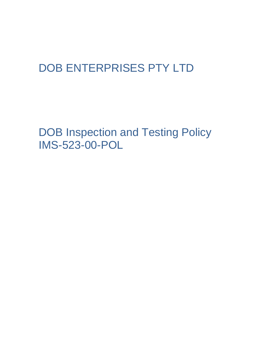# DOB ENTERPRISES PTY LTD

DOB Inspection and Testing Policy IMS-523-00-POL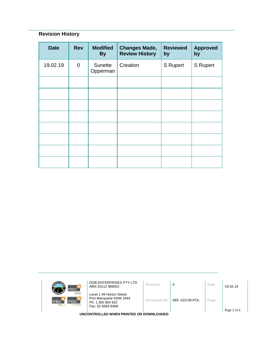## **Revision History**

| <b>Date</b> | <b>Rev</b>     | <b>Modified</b><br><b>By</b> | <b>Changes Made,</b><br><b>Review History</b> | <b>Reviewed</b><br>by | <b>Approved</b><br>by |
|-------------|----------------|------------------------------|-----------------------------------------------|-----------------------|-----------------------|
| 19.02.19    | $\overline{0}$ | Sunette<br>Opperman          | Creation                                      | <b>S</b> Rupert       | <b>S</b> Rupert       |
|             |                |                              |                                               |                       |                       |
|             |                |                              |                                               |                       |                       |
|             |                |                              |                                               |                       |                       |
|             |                |                              |                                               |                       |                       |
|             |                |                              |                                               |                       |                       |
|             |                |                              |                                               |                       |                       |
|             |                |                              |                                               |                       |                       |
|             |                |                              |                                               |                       |                       |

| mbc <sup>-</sup>                                                       | DOB ENTERPRISES PTY LTD<br>ABN 20112 866001                                                   | Revision    | 0               | Date | 19.02.19 |
|------------------------------------------------------------------------|-----------------------------------------------------------------------------------------------|-------------|-----------------|------|----------|
| <b>Inhour hire</b><br>mbc`<br>Imbc<br>m <sub>k</sub><br>sursing agency | Level 1 49 Horton Street<br>Port Macquarie NSW 2444<br>Ph: 1 300 854 622<br>Fax: 02 6583 8468 | Document No | IMS -523-00-POL | Page |          |
| Page 2 of 4<br>UNCONTROLLED WHEN PRINTED OR DOWNLOADED                 |                                                                                               |             |                 |      |          |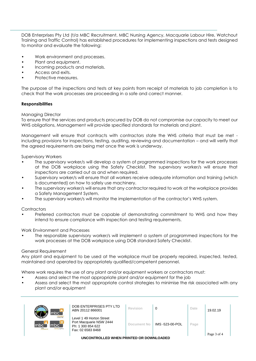DOB Enterprises Pty Ltd (t/a MBC Recruitment, MBC Nursing Agency, Macquarie Labour Hire, Watchout Training and Traffic Control) has established procedures for implementing inspections and tests designed to monitor and evaluate the following:

- Work environment and processes.
- Plant and equipment.
- Incoming products and materials.
- Access and exits.
- Protective measures.

The purpose of the inspections and tests at key points from receipt of materials to job completion is to check that the work processes are proceeding in a safe and correct manner.

#### **Responsibilities**

#### Managing Director

To ensure that the services and products procured by DOB do not compromise our capacity to meet our WHS obligations, Management will provide specified standards for materials and plant.

Management will ensure that contracts with contractors state the WHS criteria that must be met including provisions for inspections, testing, auditing, reviewing and documentation – and will verify that the agreed requirements are being met once the work is underway.

Supervisory Workers

- The supervisory worker/s will develop a system of programmed inspections for the work processes at the DOB workplace using the Safety Checklist. The supervisory worker/s will ensure that inspections are carried out as and when required.
- Supervisory worker/s will ensure that all workers receive adequate information and training (which is documented) on how to safely use machinery.
- The supervisory worker/s will ensure that any contractor required to work at the workplace provides a Safety Management System.
- The supervisory worker/s will monitor the implementation of the contractor's WHS system.

#### **Contractors**

• Preferred contractors must be capable of demonstrating commitment to WHS and how they intend to ensure compliance with inspection and testing requirements.

#### Work Environment and Processes

• The responsible supervisory worker/s will implement a system of programmed inspections for the work processes at the DOB workplace using DOB standard Safety Checklist.

#### General Requirement

Any plant and equipment to be used at the workplace must be properly repaired, inspected, tested, maintained and operated by appropriately qualified/competent personnel.

Where work requires the use of any plant and/or equipment workers or contractors must:

- Assess and select the most appropriate plant and/or equipment for the job
- Assess and select the most appropriate control strategies to minimise the risk associated with any plant and/or equipment

| mbci                                                                    | DOB ENTERPRISES PTY LTD<br>ABN 20112 866001                                                   | Revision    |                 | Date | 19.02.19    |
|-------------------------------------------------------------------------|-----------------------------------------------------------------------------------------------|-------------|-----------------|------|-------------|
| <b>Icloour hire</b><br>mbc<br>mbc <sup>-</sup><br><b>TUrsing agency</b> | Level 1 49 Horton Street<br>Port Macquarie NSW 2444<br>Ph: 1 300 854 622<br>Fax: 02 6583 8468 | Document No | IMS -523-00-POL | Page | Page 3 of 4 |

**UNCONTROLLED WHEN PRINTED OR DOWNLOADED**